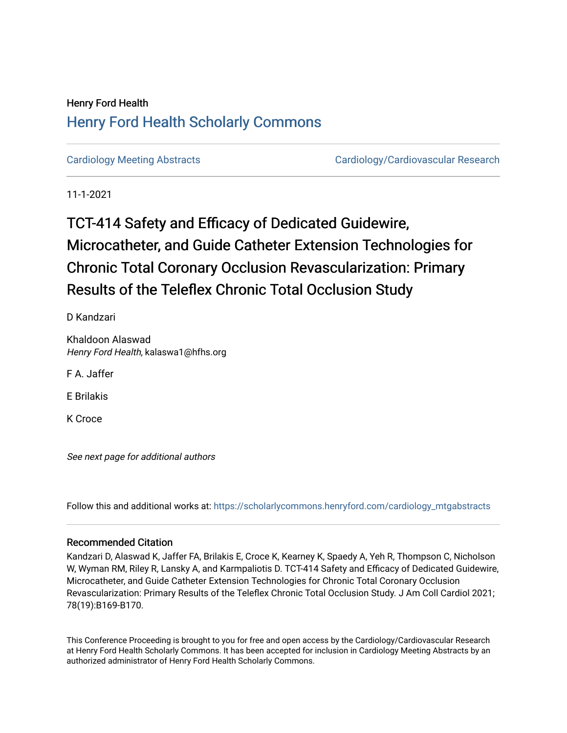## Henry Ford Health [Henry Ford Health Scholarly Commons](https://scholarlycommons.henryford.com/)

[Cardiology Meeting Abstracts](https://scholarlycommons.henryford.com/cardiology_mtgabstracts) [Cardiology/Cardiovascular Research](https://scholarlycommons.henryford.com/cardiology) 

11-1-2021

# TCT-414 Safety and Efficacy of Dedicated Guidewire, Microcatheter, and Guide Catheter Extension Technologies for Chronic Total Coronary Occlusion Revascularization: Primary Results of the Teleflex Chronic Total Occlusion Study

D Kandzari

Khaldoon Alaswad Henry Ford Health, kalaswa1@hfhs.org

F A. Jaffer

E Brilakis

K Croce

See next page for additional authors

Follow this and additional works at: [https://scholarlycommons.henryford.com/cardiology\\_mtgabstracts](https://scholarlycommons.henryford.com/cardiology_mtgabstracts?utm_source=scholarlycommons.henryford.com%2Fcardiology_mtgabstracts%2F312&utm_medium=PDF&utm_campaign=PDFCoverPages) 

## Recommended Citation

Kandzari D, Alaswad K, Jaffer FA, Brilakis E, Croce K, Kearney K, Spaedy A, Yeh R, Thompson C, Nicholson W, Wyman RM, Riley R, Lansky A, and Karmpaliotis D. TCT-414 Safety and Efficacy of Dedicated Guidewire, Microcatheter, and Guide Catheter Extension Technologies for Chronic Total Coronary Occlusion Revascularization: Primary Results of the Teleflex Chronic Total Occlusion Study. J Am Coll Cardiol 2021; 78(19):B169-B170.

This Conference Proceeding is brought to you for free and open access by the Cardiology/Cardiovascular Research at Henry Ford Health Scholarly Commons. It has been accepted for inclusion in Cardiology Meeting Abstracts by an authorized administrator of Henry Ford Health Scholarly Commons.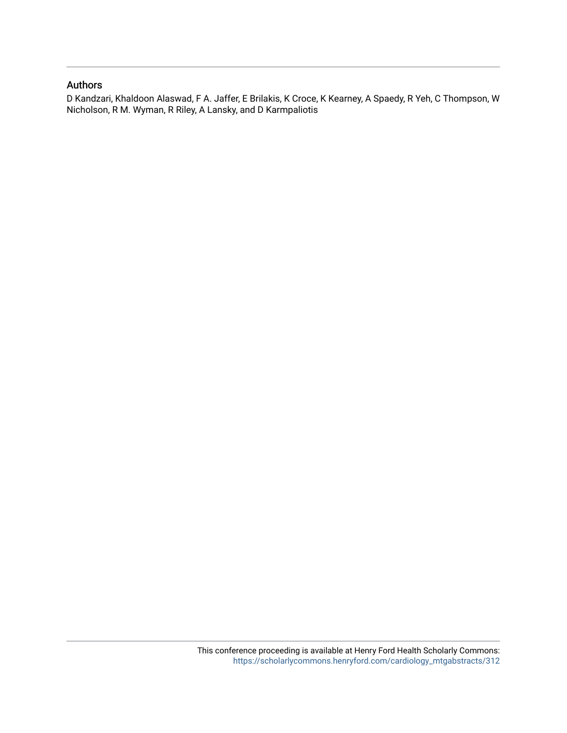### Authors

D Kandzari, Khaldoon Alaswad, F A. Jaffer, E Brilakis, K Croce, K Kearney, A Spaedy, R Yeh, C Thompson, W Nicholson, R M. Wyman, R Riley, A Lansky, and D Karmpaliotis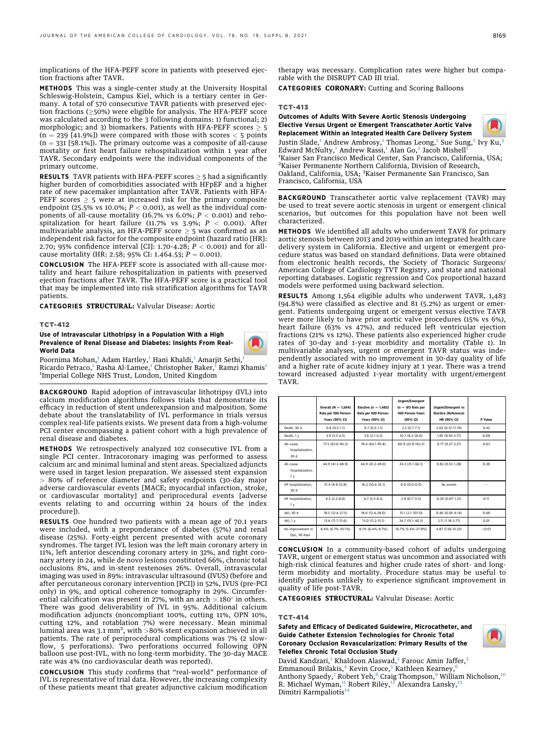implications of the HFA-PEFF score in patients with preserved ejection fractions after TAVR.

METHODS This was a single-center study at the University Hospital Schleswig-Holstein, Campus Kiel, which is a tertiary center in Germany. A total of 570 consecutive TAVR patients with preserved ejection fractions ( $\geq$ 50%) were eligible for analysis. The HFA-PEFF score was calculated according to the 3 following domains: 1) functional; 2) morphologic; and 3) biomarkers. Patients with HFA-PEFF scores  $> 5$  $(n = 239 [41.9\%)$  were compared with those with scores  $<$  5 points  $(n = 331$  [58.1%]). The primary outcome was a composite of all-cause mortality or first heart failure rehospitalization within 1 year after TAVR. Secondary endpoints were the individual components of the primary outcome.

**RESULTS** TAVR patients with HFA-PEFF scores  $\geq$  5 had a significantly higher burden of comorbidities associated with HFpEF and a higher rate of new pacemaker implantation after TAVR. Patients with HFA-PEFF scores  $\geq$  5 were at increased risk for the primary composite endpoint (25.5% vs 10.0%;  $P < 0.001$ ), as well as the individual components of all-cause mortality (16.7% vs 6.0%;  $P < 0.001$ ) and rehospitalization for heart failure (11.7% vs 3.9%;  $P < 0.001$ ). After multivariable analysis, an HFA-PEFF score  $\geq$  5 was confirmed as an independent risk factor for the composite endpoint (hazard ratio [HR]: 2.70; 95% confidence interval [CI]: 1.70-4.28;  $P < 0.001$ ) and for allcause mortality (HR: 2.58; 95% CI: 1.464.53;  $P = 0.001$ ).

CONCLUSION The HFA-PEFF score is associated with all-cause mortality and heart failure rehospitalization in patients with preserved ejection fractions after TAVR. The HFA-PEFF score is a practical tool that may be implemented into risk stratification algorithms for TAVR patients.

CATEGORIES STRUCTURAL: Valvular Disease: Aortic

#### TCT-412

Use of Intravascular Lithotripsy in a Population With a High Prevalence of Renal Disease and Diabetes: Insights From Real-World Data

Poornima Mohan,<sup>[1](#page-2-0)</sup> Adam Hartley,<sup>1</sup> Hani Khaldi,<sup>1</sup> Amarjit Sethi,<sup>1</sup> Ricardo Petraco,<sup>[1](#page-2-0)</sup> Rasha Al-Lamee,<sup>1</sup> Christopher Baker,<sup>1</sup> Ramzi Khamis<sup>1</sup> 1 Imperial College NHS Trust, London, United Kingdom

BACKGROUND Rapid adoption of intravascular lithotripsy (IVL) into calcium modification algorithms follows trials that demonstrate its efficacy in reduction of stent underexpansion and malposition. Some debate about the translatability of IVL performance in trials versus complex real-life patients exists. We present data from a high-volume PCI center encompassing a patient cohort with a high prevalence of renal disease and diabetes.

METHODS We retrospectively analyzed 102 consecutive IVL from a single PCI center. Intracoronary imaging was performed to assess calcium arc and minimal luminal and stent areas. Specialized adjuncts were used in target lesion preparation. We assessed stent expansion > 80% of reference diameter and safety endpoints (30-day major adverse cardiovascular events [MACE; myocardial infarction, stroke, or cardiovascular mortality] and periprocedural events [adverse events relating to and occurring within 24 hours of the index procedure]).

RESULTS One hundred two patients with a mean age of 70.1 years were included, with a preponderance of diabetes (57%) and renal disease (25%). Forty-eight percent presented with acute coronary syndromes. The target IVL lesion was the left main coronary artery in 11%, left anterior descending coronary artery in 32%, and right coronary artery in 24, while de novo lesions constituted 66%, chronic total occlusions 8%, and in-stent restenoses 26%. Overall, intravascular imaging was used in 89%: intravascular ultrasound (IVUS) (before and after percutaneous coronary intervention [PCI]) in 52%, IVUS (pre-PCI only) in 9%, and optical coherence tomography in 29%. Circumferential calcification was present in 27%, with an arch  $> 180^\circ$  in others. There was good deliverability of IVL in 95%. Additional calcium modification adjuncts (noncompliant 100%, cutting 11%, OPN 10%, cutting 12%, and rotablation 7%) were necessary. Mean minimal luminal area was 3.1 mm², with  $>\!\!80\%$  stent expansion achieved in all patients. The rate of periprocedural complications was 7% (2 slowflow, 5 perforations). Two perforations occurred following OPN balloon use post-IVL, with no long-term morbidity. The 30-day MACE rate was 4% (no cardiovascular death was reported).

CONCLUSION This study confirms that "real-world" performance of IVL is representative of trial data. However, the increasing complexity of these patients meant that greater adjunctive calcium modification therapy was necessary. Complication rates were higher but comparable with the DISRUPT CAD III trial.

CATEGORIES CORONARY: Cutting and Scoring Balloons

#### TCT-413

Outcomes of Adults With Severe Aortic Stenosis Undergoing Elective Versus Urgent or Emergent Transcatheter Aortic Valve Replacement Within an Integrated Health Care Delivery System



<span id="page-2-0"></span>Justin Slade,<sup>[1](#page-2-0)</sup> Andrew Ambrosy,<sup>1</sup> Thomas Leong,<sup>[2](#page-2-0)</sup> Sue Sung,<sup>2</sup> Ivy Ku,<sup>[3](#page-2-1)</sup> Edward McNulty,<sup>[1](#page-2-0)</sup> Andrew Rassi,<sup>1</sup> Alan Go,<sup>[2](#page-2-0)</sup> Jacob Mishell<sup>1</sup> <sup>1</sup>Kaiser San Francisco Medical Center, San Francisco, California, USA;<br><sup>2</sup>Kaiser Permanente Northern California, Division of Pescarch <sup>2</sup>Kaiser Permanente Northern California, Division of Research, Oakland, California, USA; <sup>3</sup>Kaiser Permanente San Francisco, San Francisco, California, USA

<span id="page-2-1"></span>BACKGROUND Transcatheter aortic valve replacement (TAVR) may be used to treat severe aortic stenosis in urgent or emergent clinical scenarios, but outcomes for this population have not been well characterized.

METHODS We identified all adults who underwent TAVR for primary aortic stenosis between 2013 and 2019 within an integrated health care delivery system in California. Elective and urgent or emergent procedure status was based on standard definitions. Data were obtained from electronic health records, the Society of Thoracic Surgeons/ American College of Cardiology TVT Registry, and state and national reporting databases. Logistic regression and Cox proportional hazard models were performed using backward selection.

RESULTS Among 1,564 eligible adults who underwent TAVR, 1,483 (94.8%) were classified as elective and 81 (5.2%) as urgent or emergent. Patients undergoing urgent or emergent versus elective TAVR were more likely to have prior aortic valve procedures (15% vs 6%), heart failure (63% vs 47%), and reduced left ventricular ejection fractions (21% vs 12%). These patients also experienced higher crude rates of 30-day and 1-year morbidity and mortality (Table 1). In multivariable analyses, urgent or emergent TAVR status was independently associated with no improvement in 30-day quality of life and a higher rate of acute kidney injury at 1 year. There was a trend toward increased adjusted 1-year mortality with urgent/emergent TAVR.

|                                                 | Overall $(N = 1.564)$<br>Rate per 100 Person-<br><b>Years (95% CI)</b> | Elective ( $n = 1.483$ )<br>Rate per 100 Person-<br><b>Years (95% CI)</b> | <b>Urgent/Emergent</b><br>$(n = 81)$ Rate per<br>100 Person-Years<br>(95% CI) | <b>Urgent/Emergent vs</b><br><b>Elective (Reference)</b><br>HR (95% CI) | P Value |
|-------------------------------------------------|------------------------------------------------------------------------|---------------------------------------------------------------------------|-------------------------------------------------------------------------------|-------------------------------------------------------------------------|---------|
| Death, 30 d                                     | $0.8(0.5-1.1)$                                                         | $0.7(0.5-1.1)$                                                            | $2.3(0.7-7.1)$                                                                | 2.02 (0.37-11.19)                                                       | 0.42    |
| Death, 1 v                                      | $3.9(3.3-4.5)$                                                         | $3.6(3.1-4.3)$                                                            | $10.7(6.3 - 18.0)$                                                            | 1.85 (0.93-3.71)                                                        | 0.08    |
| All-cause<br>hospitalization.<br>30 d           | 77.5 (63.6-94.3)                                                       | 78.4 (64.1-95.8)                                                          | 60.9 (22.9-162.3)                                                             | $0.77(0.27 - 2.21)$                                                     | 0.63    |
| All-cause<br>hospitalization,<br>1 <sub>y</sub> | 44.9 (41.3-48.9)                                                       | 44.9 (41.2-49.0)                                                          | 45.3 (31.1-66.1)                                                              | $0.82(0.53 - 1.28)$                                                     | 0.38    |
| HF hospitalization.<br>30 d                     | 15.4 (9.9-23.8)                                                        | 16.2 (10.4-25.1)                                                          | $0.0(0.0-0.0)$                                                                | No events                                                               |         |
| HF hospitalization,<br>1 <sub>y</sub>           | $6.5(5.3-8.0)$                                                         | $6.7(5.5-8.3)$                                                            | $2.9(0.7-11.5)$                                                               | $0.29(0.07-1.31)$                                                       | 0.11    |
| AKI, 30 d                                       | 18.5 (12.4-27.5)                                                       | 18.6 (12.4-28.0)                                                          | 15.1 (2.1-107.0)                                                              | $0.46(0.05 - 4.14)$                                                     | 0.48    |
| AKI, 1 v                                        | 13.6 (11.7-15.6)                                                       | 13.0 (11.2-15.1)                                                          | 24.7 (15.1-40.3)                                                              | 2.11 (1.18-3.77)                                                        | 0.01    |
| No improvement in<br>QoL, 30 days               | 8.4% (6.7%-10.1%)                                                      | 8.1% (6.4%-9.7%)                                                          | 16.7% (5.4%-27.9%)                                                            | 4.87 (1.56-15.23)                                                       | < 0.01  |

CONCLUSION In a community-based cohort of adults undergoing TAVR, urgent or emergent status was uncommon and associated with high-risk clinical features and higher crude rates of short- and longterm morbidity and mortality. Procedure status may be useful to identify patients unlikely to experience significant improvement in quality of life post-TAVR.

CATEGORIES STRUCTURAL: Valvular Disease: Aortic

#### TCT-414

#### Safety and Efficacy of Dedicated Guidewire, Microcatheter, and Guide Catheter Extension Technologies for Chronic Total Coronary Occlusion Revascularization: Primary Results of the Teleflex Chronic Total Occlusion Study



David Kandzari,<sup>[1](#page-2-0)</sup> Khaldoon Alaswad,<sup>[2](#page-2-0)</sup> Farouc Amin Jaffer,<sup>[3](#page-2-1)</sup> Emmanouil Brilakis, $4$  Kevin Croce,<sup>[5](#page-3-1)</sup> Kathleen Kearney, Anthony Spaedy,<sup>[7](#page-3-3)</sup> Robert Yeh,<sup>[8](#page-3-3)</sup> Craig Thompson,<sup>[9](#page-3-4)</sup> William Nicholson,<sup>[10](#page-3-5)</sup> R. Michael Wyman, $^{11}$  $^{11}$  $^{11}$  Robert Riley, $^{12}$  $^{12}$  $^{12}$  Alexandra Lansky, $^{1}$ Dimitri Karmpaliotis<sup>[14](#page-3-9)</sup>